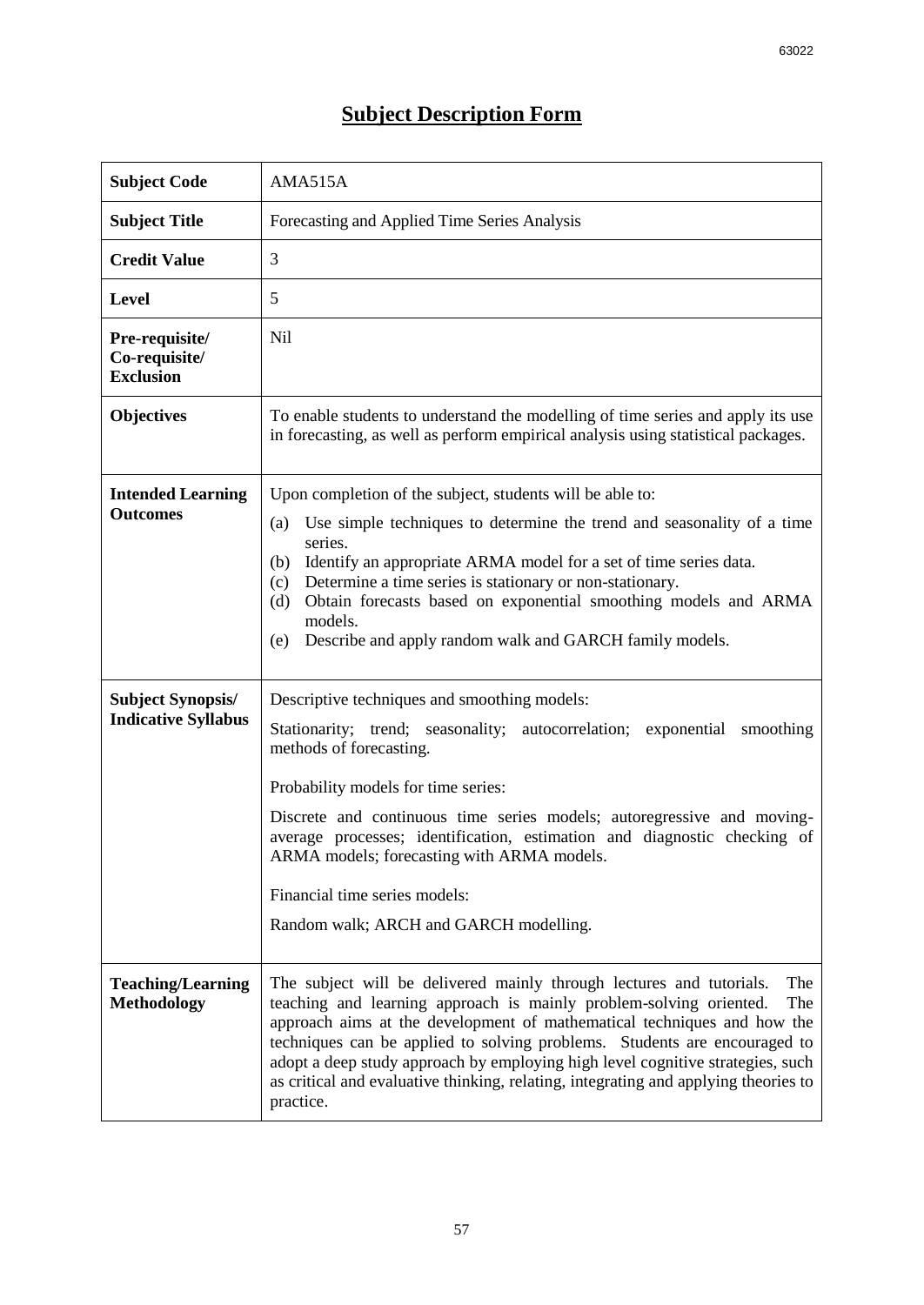## **Subject Description Form**

| <b>Subject Code</b>                                    | AMA515A                                                                                                                                                                                                                                                                                                                                                                                                                                                                                                |
|--------------------------------------------------------|--------------------------------------------------------------------------------------------------------------------------------------------------------------------------------------------------------------------------------------------------------------------------------------------------------------------------------------------------------------------------------------------------------------------------------------------------------------------------------------------------------|
| <b>Subject Title</b>                                   | Forecasting and Applied Time Series Analysis                                                                                                                                                                                                                                                                                                                                                                                                                                                           |
| <b>Credit Value</b>                                    | 3                                                                                                                                                                                                                                                                                                                                                                                                                                                                                                      |
| <b>Level</b>                                           | 5                                                                                                                                                                                                                                                                                                                                                                                                                                                                                                      |
| Pre-requisite/<br>Co-requisite/<br><b>Exclusion</b>    | <b>Nil</b>                                                                                                                                                                                                                                                                                                                                                                                                                                                                                             |
| <b>Objectives</b>                                      | To enable students to understand the modelling of time series and apply its use<br>in forecasting, as well as perform empirical analysis using statistical packages.                                                                                                                                                                                                                                                                                                                                   |
| <b>Intended Learning</b><br><b>Outcomes</b>            | Upon completion of the subject, students will be able to:<br>Use simple techniques to determine the trend and seasonality of a time<br>(a)<br>series.<br>Identify an appropriate ARMA model for a set of time series data.<br>(b)<br>Determine a time series is stationary or non-stationary.<br>(c)<br>Obtain forecasts based on exponential smoothing models and ARMA<br>(d)<br>models.<br>Describe and apply random walk and GARCH family models.<br>(e)                                            |
| <b>Subject Synopsis/</b><br><b>Indicative Syllabus</b> | Descriptive techniques and smoothing models:<br>Stationarity; trend; seasonality; autocorrelation; exponential smoothing<br>methods of forecasting.<br>Probability models for time series:<br>Discrete and continuous time series models; autoregressive and moving-<br>average processes; identification, estimation and diagnostic checking of<br>ARMA models; forecasting with ARMA models.<br>Financial time series models:<br>Random walk; ARCH and GARCH modelling.                              |
| <b>Teaching/Learning</b><br><b>Methodology</b>         | The subject will be delivered mainly through lectures and tutorials.<br>The<br>teaching and learning approach is mainly problem-solving oriented.<br>The<br>approach aims at the development of mathematical techniques and how the<br>techniques can be applied to solving problems. Students are encouraged to<br>adopt a deep study approach by employing high level cognitive strategies, such<br>as critical and evaluative thinking, relating, integrating and applying theories to<br>practice. |